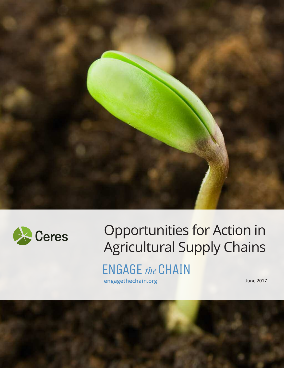



# Opportunities for Action in Agricultural Supply Chains

**ENGAGE** the CHAIN **engagethechain.org June 2017** 

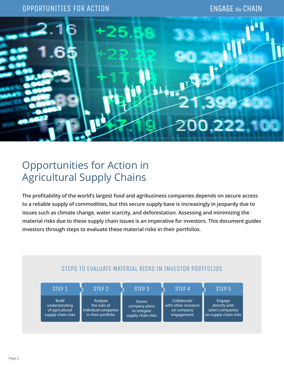### OPPORTUNITIES FOR ACTION



# Opportunities for Action in Agricultural Supply Chains

**The profitability of the world's largest food and agribusiness companies depends on secure access to a reliable supply of commodities, but this secure supply base is increasingly in jeopardy due to issues such as climate change, water scarcity, and deforestation. Assessing and minimizing the material risks due to these supply chain issues is an imperative for investors. This document guides investors through steps to evaluate these material risks in their portfolios.**

| STEP 1                                                                 | STEP <sub>2</sub>                                                     | STEP <sub>3</sub>                                                   | STEP <sub>4</sub>                                               | STEP <sub>5</sub>                                                    |
|------------------------------------------------------------------------|-----------------------------------------------------------------------|---------------------------------------------------------------------|-----------------------------------------------------------------|----------------------------------------------------------------------|
| <b>Build</b><br>understanding<br>of agricultural<br>supply chain risks | Analyze<br>the risks of<br>individual companies<br>in their portfolio | <b>Assess</b><br>company plans<br>to mitigate<br>supply chain risks | Collaborate<br>with other investors<br>on company<br>engagement | Engage<br>directly with<br>select companies<br>on supply chain risks |

#### STEPS TO EVALUATE MATERIAL RISKS IN INVESTOR PORTFOLIOS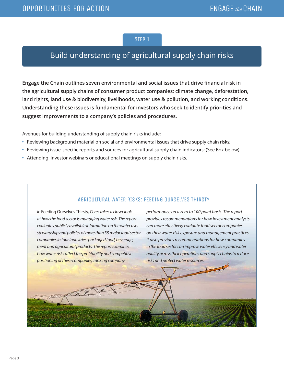# Build understanding of agricultural supply chain risks

**Engage the Chain outlines seven environmental and social issues that drive financial risk in the agricultural supply chains of consumer product companies: climate change, deforestation, land rights, land use & biodiversity, livelihoods, water use & pollution, and working conditions. Understanding these issues is fundamental for investors who seek to identify priorities and suggest improvements to a company's policies and procedures.** 

Avenues for building understanding of supply chain risks include:

- **•** Reviewing background material on social and environmental issues that drive supply chain risks;
- **•** Reviewing issue-specific reports and sources for agricultural supply chain indicators; (See Box below)
- **•** Attending investor webinars or educational meetings on supply chain risks.

#### AGRICULTURAL WATER RISKS: FEEDING OURSELVES THIRSTY

In Feeding Ourselves Thirsty, Ceres takes a closer look at how the food sector is managing water risk. The report evaluates publicly available information on the water use, stewardship and policies of more than 35 major food sector companies in four industries: packaged food, beverage, meat and agricultural products. The report examines how water risks affect the profitability and competitive positioning of these companies, ranking company

performance on a zero to 100 point basis. The report provides recommendations for how investment analysts can more effectively evaluate food sector companies on their water risk exposure and management practices. It also provides recommendations for how companies in the food sector can improve water efficiency and water quality across their operations and supply chains to reduce risks and protect water resources.

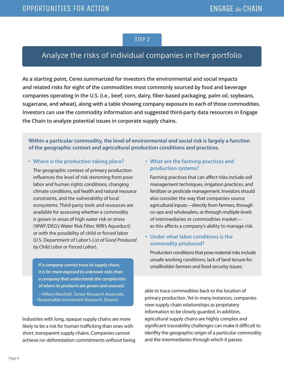# Analyze the risks of individual companies in their portfolio

**As a starting point, Ceres summarized for investors the environmental and social impacts and related risks for eight of the commodities most commonly sourced by food and beverage companies operating in the U.S. (i.e., beef, corn, dairy, fiber-based packaging, palm oil, soybeans, sugarcane, and wheat), along with a table showing company exposure to each of those commodities. Investors can use the commodity information and suggested third-party data resources in Engage the Chain to analyze potential issues in corporate supply chains.**

#### **Within a particular commodity, the level of environmental and social risk is largely a function of the geographic context and agricultural production conditions and practices.**

#### **• Where is the production taking place?**

The geographic context of primary production influences the level of risk stemming from poor labor and human rights conditions, changing climate conditions, soil health and natural resource constraints, and the vulnerability of local ecosystems. Third-party tools and resources are available for assessing whether a commodity is grown in areas of high water risk or stress (WWF/DEG's Water Risk Filter, WRI's Aqueduct) or with the possibility of child or forced labor (U.S. Department of Labor's List of Good Produced by Child Labor or Forced Labor).

*If a company cannot trace its supply chain, it is far more exposed to unknown risks than a company that understands the complexities of where its products are grown and sourced.* —Hillary Marshall, Senior Research Associate, Responsible Investment Research, Domini

Industries with long, opaque supply chains are more likely to be a risk for human trafficking than ones with short, transparent supply chains. Companies cannot achieve no-deforestation commitments without being

#### **• What are the farming practices and production systems?**

Farming practices that can affect risks include soil management techniques, irrigation practices, and fertilizer or pesticide management. Investors should also consider the way that companies source agricultural inputs—directly from farmers, through co-ops and wholesalers, or through multiple levels of intermediaries or commodities market as this affects a company's ability to manage risk.

#### **• Under what labor conditions is the commodity produced?**

Production conditions that pose material risks include unsafe working conditions, lack of land tenure for smallholder farmers and food security issues.

able to trace commodities back to the location of primary production. Yet in many instances, companies view supply chain relationships as propriatery information to be closely guarded. In addition, agricultural supply chains are highly complex and significant traceability challenges can make it difficult to idenfity the geographic origin of a particular commodity and the intermediaries through which it passes.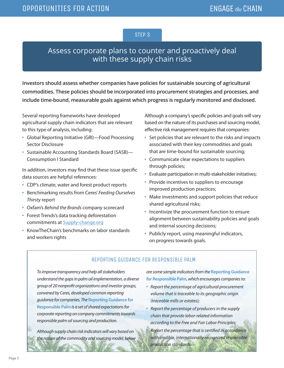# Assess corporate plans to counter and proactively deal with these supply chain risks

**Investors should assess whether companies have policies for sustainable sourcing of agricultural commodities. These policies should be incorporated into procurement strategies and processes, and include time-bound, measurable goals against which progress is regularly monitored and disclosed.** 

Several reporting frameworks have developed agricultural supply chain indicators that are relevant to this type of analysis, including:

- **•** Global Reporting Initiative (GRI)—Food Processing Sector Disclosure
- **•** Sustainable Accounting Standards Board (SASB)— Consumption I Standard

In addition, investors may find that these issue specific data sources are helpful references:

- **•** CDP's climate, water and forest product reports
- **•** Benchmarking results from Ceres' Feeding Ourselves Thirsty report
- **•** Oxfam's Behind the Brands company scorecard
- **•** Forest Trends's data tracking deforestation commitments at [Supply-change.org](http://supply-change.org)
- **•** KnowTheChain's benchmarks on labor standards and workers rights

Although a company's specific policies and goals will vary based on the nature of its purchases and sourcing model, effective risk management requires that companies:

- **•** Set policies that are relevant to the risks and impacts associated with their key commodities and goals that are time-bound for sustainable sourcing;
- **•** Communicate clear expectations to suppliers through policies;
- **•** Evaluate participation in multi-stakeholder initiatives;
- **•** Provide incentives to suppliers to encourage improved production practices;
- **•** Make investments and support policies that reduce shared agricultural risks;
- **•** Incentivize the procurement function to ensure alignment between sustainability policies and goals and internal sourcing decisions;
- **•** Publicly report, using meaningful indicators, on progress towards goals.

#### REPORTING GUIDANCE FOR RESPONSIBLE PALM

To improve transparency and help all stakeholders understand the gaps in palm oil implementation, a diverse group of 20 nonprofit organizations and investor groups, convened by Ceres, developed common reporting guidance for companies. The **Reporting Guidance for Responsible Palm** is a set of shared expectations for corporate reporting on company commitments towards responsible palm oil sourcing and production.

Although supply chain risk indicators will vary based on the nature of the commodity and sourcing model, below are some sample indicators from the **Reporting Guidance for Responsible Palm**, which encourages companies to:

- **•** Report the percentage of agricultural procurement volume that is traceable to its geographic origin (traceable mills or estates);
- **•** Report the percentage of producers in the supply chain that provide labor-related information according to the Free and Fair Labor Principles;

**•** Report the percentage that is certified in accordance with credible, internationally-recognized responsible production standards.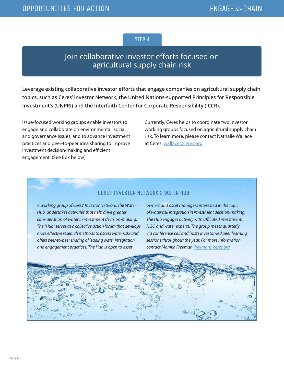# Join collaborative investor efforts focused on agricultural supply chain risk

**Leverage existing collaborative investor efforts that engage companies on agricultural supply chain topics, such as Ceres' Investor Network, the United Nations-supported Principles for Responsible Investment's (UNPRI) and the Interfaith Center for Corporate Responsibility (ICCR).**

Issue-focused working groups enable investors to engage and collaborate on environmental, social, and governance issues, and to advance investment practices and peer-to-peer idea sharing to improve investment decision-making and efficient engagement. (See Box below)

Currently, Ceres helps to coordinate two investor working groups focused on agricultural supply chain risk. To learn more, please contact Nathalie Wallace at Ceres: [wallace@ceres.org](mailto:wallace@ceres.org)

#### CERES INVESTOR NETWORK'S WATER HUB

A working group of Ceres' Investor Network, the Water Hub, undertakes activities that help drive greater consideration of water in investment decision-making. The "Hub" serves as a collective action forum that develops more effective research methods to assess water risks and offers peer-to-peer sharing of leading water integration and engagement practices. The Hub is open to asset

owners and asset managers interested in the topic of water risk integration in investment decision-making. The Hub engages actively with affiliated investment, NGO and water experts. The group meets quarterly via conference call and hosts investor-led peer learning sessions throughout the year. For more information contact Monika Freyman: [freyman@ceres.org](mailto:freyman@ceres.org)